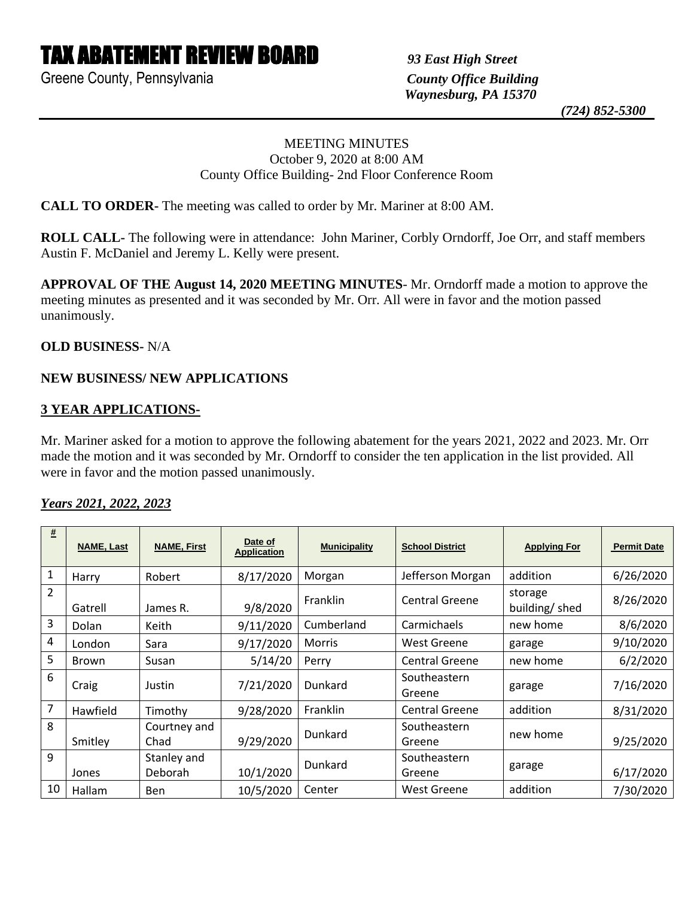# TAX ABATEMENT REVIEW BOARD *93 East High Street*

Greene County, Pennsylvania *County Office Building*

 *Waynesburg, PA 15370*

 *(724) 852-5300*

#### MEETING MINUTES October 9, 2020 at 8:00 AM County Office Building- 2nd Floor Conference Room

**CALL TO ORDER-** The meeting was called to order by Mr. Mariner at 8:00 AM.

**ROLL CALL-** The following were in attendance: John Mariner, Corbly Orndorff, Joe Orr, and staff members Austin F. McDaniel and Jeremy L. Kelly were present.

**APPROVAL OF THE August 14, 2020 MEETING MINUTES**- Mr. Orndorff made a motion to approve the meeting minutes as presented and it was seconded by Mr. Orr. All were in favor and the motion passed unanimously.

#### **OLD BUSINESS-** N/A

## **NEW BUSINESS/ NEW APPLICATIONS**

#### **3 YEAR APPLICATIONS-**

Mr. Mariner asked for a motion to approve the following abatement for the years 2021, 2022 and 2023. Mr. Orr made the motion and it was seconded by Mr. Orndorff to consider the ten application in the list provided. All were in favor and the motion passed unanimously.

#### *Years 2021, 2022, 2023*

| #  | <b>NAME, Last</b> | <b>NAME, First</b>     | Date of<br><b>Application</b> | <b>Municipality</b> | <b>School District</b> | <b>Applying For</b>      | <b>Permit Date</b> |
|----|-------------------|------------------------|-------------------------------|---------------------|------------------------|--------------------------|--------------------|
| 1  | Harry             | Robert                 | 8/17/2020                     | Morgan              | Jefferson Morgan       | addition                 | 6/26/2020          |
| 2  | Gatrell           | James R.               | 9/8/2020                      | Franklin            | <b>Central Greene</b>  | storage<br>building/shed | 8/26/2020          |
| 3  | Dolan             | Keith                  | 9/11/2020                     | Cumberland          | Carmichaels            | new home                 | 8/6/2020           |
| 4  | London            | Sara                   | 9/17/2020                     | <b>Morris</b>       | <b>West Greene</b>     | garage                   | 9/10/2020          |
| 5  | Brown             | Susan                  | 5/14/20                       | Perry               | <b>Central Greene</b>  | new home                 | 6/2/2020           |
| 6  | Craig             | Justin                 | 7/21/2020                     | Dunkard             | Southeastern<br>Greene | garage                   | 7/16/2020          |
| 7  | Hawfield          | Timothy                | 9/28/2020                     | Franklin            | <b>Central Greene</b>  | addition                 | 8/31/2020          |
| 8  | Smitley           | Courtney and<br>Chad   | 9/29/2020                     | Dunkard             | Southeastern<br>Greene | new home                 | 9/25/2020          |
| 9  | Jones             | Stanley and<br>Deborah | 10/1/2020                     | Dunkard             | Southeastern<br>Greene | garage                   | 6/17/2020          |
| 10 | Hallam            | Ben                    | 10/5/2020                     | Center              | <b>West Greene</b>     | addition                 | 7/30/2020          |